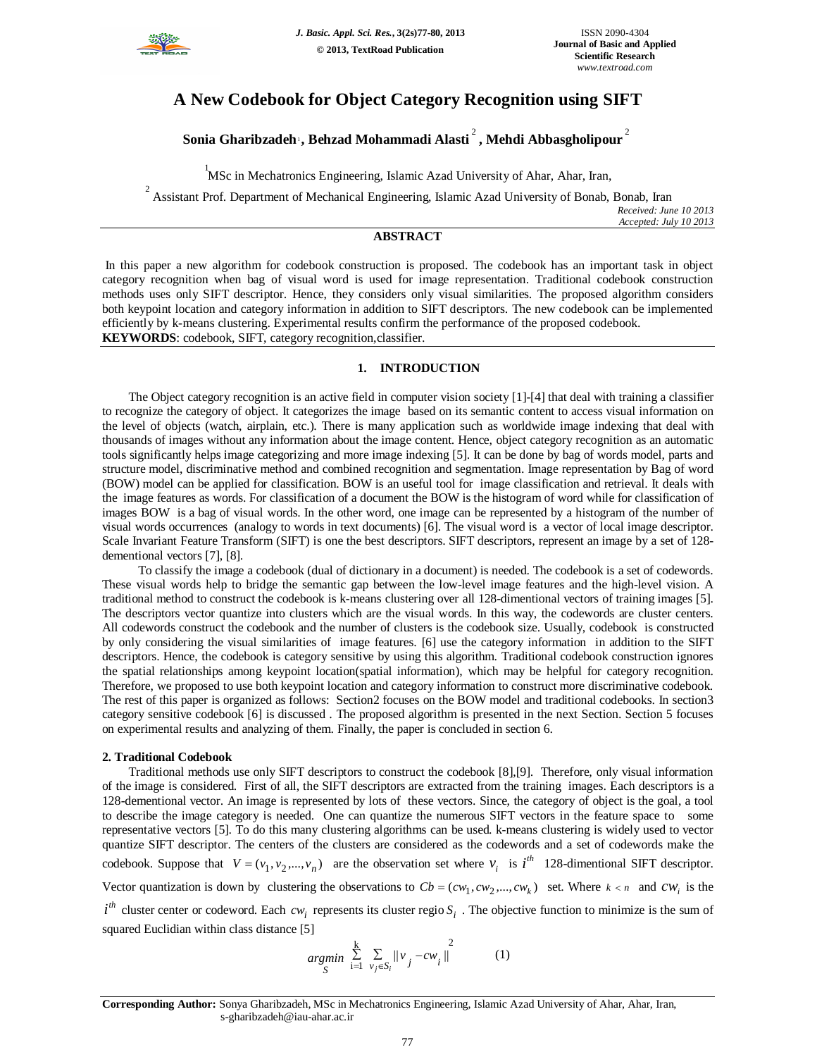

# **A New Codebook for Object Category Recognition using SIFT**

# **Sonia Gharibzadeh**<sup>1</sup> **, Behzad Mohammadi Alasti** <sup>2</sup> **, Mehdi Abbasgholipour** <sup>2</sup>

1 MSc in Mechatronics Engineering, Islamic Azad University of Ahar, Ahar, Iran,

<sup>2</sup> Assistant Prof. Department of Mechanical Engineering, Islamic Azad University of Bonab, Bonab, Iran *Received: June 10 2013 Accepted: July 10 2013*

## **ABSTRACT**

In this paper a new algorithm for codebook construction is proposed. The codebook has an important task in object category recognition when bag of visual word is used for image representation. Traditional codebook construction methods uses only SIFT descriptor. Hence, they considers only visual similarities. The proposed algorithm considers both keypoint location and category information in addition to SIFT descriptors. The new codebook can be implemented efficiently by k-means clustering. Experimental results confirm the performance of the proposed codebook. **KEYWORDS**: codebook, SIFT, category recognition,classifier.

# **1. INTRODUCTION**

The Object category recognition is an active field in computer vision society [1]-[4] that deal with training a classifier to recognize the category of object. It categorizes the image based on its semantic content to access visual information on the level of objects (watch, airplain, etc.). There is many application such as worldwide image indexing that deal with thousands of images without any information about the image content. Hence, object category recognition as an automatic tools significantly helps image categorizing and more image indexing [5]. It can be done by bag of words model, parts and structure model, discriminative method and combined recognition and segmentation. Image representation by Bag of word (BOW) model can be applied for classification. BOW is an useful tool for image classification and retrieval. It deals with the image features as words. For classification of a document the BOW is the histogram of word while for classification of images BOW is a bag of visual words. In the other word, one image can be represented by a histogram of the number of visual words occurrences (analogy to words in text documents) [6]. The visual word is a vector of local image descriptor. Scale Invariant Feature Transform (SIFT) is one the best descriptors. SIFT descriptors, represent an image by a set of 128 dementional vectors [7], [8].

 To classify the image a codebook (dual of dictionary in a document) is needed. The codebook is a set of codewords. These visual words help to bridge the semantic gap between the low-level image features and the high-level vision. A traditional method to construct the codebook is k-means clustering over all 128-dimentional vectors of training images [5]. The descriptors vector quantize into clusters which are the visual words. In this way, the codewords are cluster centers. All codewords construct the codebook and the number of clusters is the codebook size. Usually, codebook is constructed by only considering the visual similarities of image features. [6] use the category information in addition to the SIFT descriptors. Hence, the codebook is category sensitive by using this algorithm. Traditional codebook construction ignores the spatial relationships among keypoint location(spatial information), which may be helpful for category recognition. Therefore, we proposed to use both keypoint location and category information to construct more discriminative codebook. The rest of this paper is organized as follows: Section2 focuses on the BOW model and traditional codebooks. In section3 category sensitive codebook [6] is discussed . The proposed algorithm is presented in the next Section. Section 5 focuses on experimental results and analyzing of them. Finally, the paper is concluded in section 6.

### **2. Traditional Codebook**

Traditional methods use only SIFT descriptors to construct the codebook [8],[9]. Therefore, only visual information of the image is considered. First of all, the SIFT descriptors are extracted from the training images. Each descriptors is a 128-dementional vector. An image is represented by lots of these vectors. Since, the category of object is the goal, a tool to describe the image category is needed. One can quantize the numerous SIFT vectors in the feature space to some representative vectors [5]. To do this many clustering algorithms can be used. k-means clustering is widely used to vector quantize SIFT descriptor. The centers of the clusters are considered as the codewords and a set of codewords make the codebook. Suppose that  $V = (v_1, v_2, ..., v_n)$  are the observation set where  $v_i$  is  $i^{th}$  128-dimentional SIFT descriptor.

Vector quantization is down by clustering the observations to  $Cb = (cw_1, cw_2, ..., cw_k)$  set. Where  $k < n$  and  $cw_i$  is the

 $i^{th}$  cluster center or codeword. Each *cw*<sub>*i*</sub> represents its cluster regio  $S_i$ . The objective function to minimize is the sum of squared Euclidian within class distance [5]

$$
\underset{S}{\text{argmin}} \sum_{i=1}^{k} \sum_{v_j \in S_i} ||v_j - cw_i||^2 \tag{1}
$$

**Corresponding Author:** Sonya Gharibzadeh, MSc in Mechatronics Engineering, Islamic Azad University of Ahar, Ahar, Iran, s-gharibzadeh@iau-ahar.ac.ir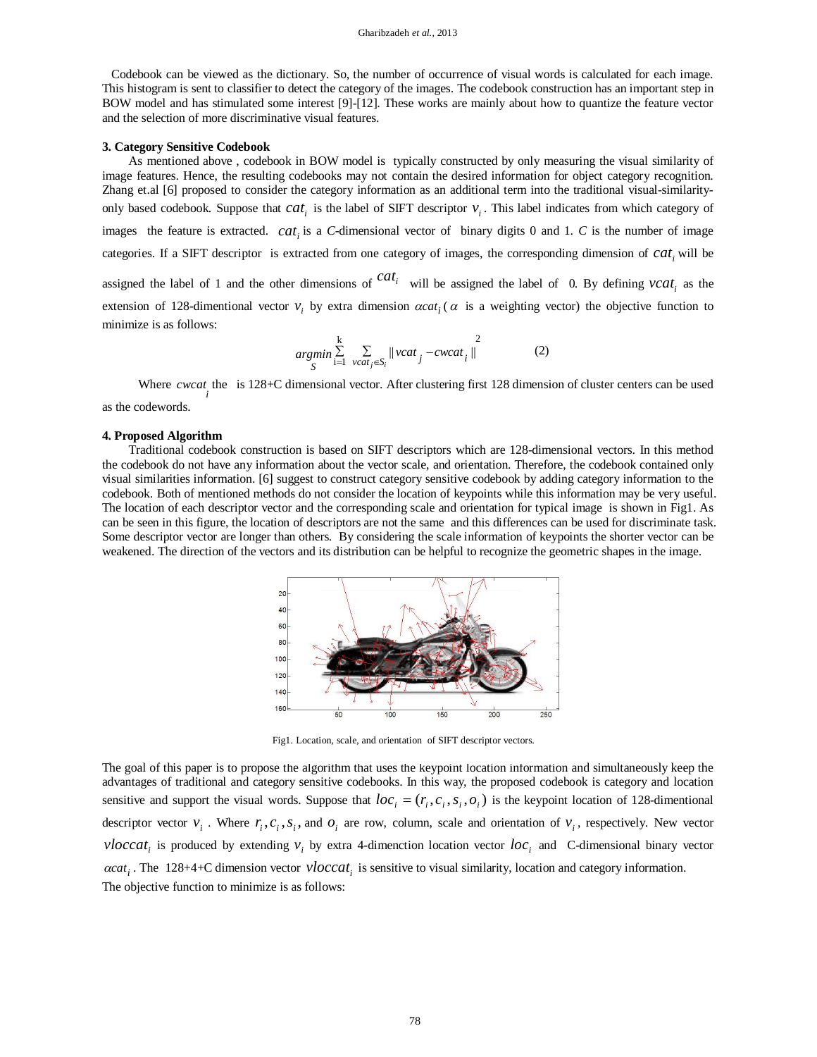Codebook can be viewed as the dictionary. So, the number of occurrence of visual words is calculated for each image. This histogram is sent to classifier to detect the category of the images. The codebook construction has an important step in BOW model and has stimulated some interest [9]-[12]. These works are mainly about how to quantize the feature vector and the selection of more discriminative visual features.

#### **3. Category Sensitive Codebook**

As mentioned above , codebook in BOW model is typically constructed by only measuring the visual similarity of image features. Hence, the resulting codebooks may not contain the desired information for object category recognition. Zhang et.al [6] proposed to consider the category information as an additional term into the traditional visual-similarityonly based codebook. Suppose that  $cat_i$  is the label of SIFT descriptor  $v_i$ . This label indicates from which category of images the feature is extracted.  $cat_i$  is a *C*-dimensional vector of binary digits 0 and 1. *C* is the number of image categories. If a SIFT descriptor is extracted from one category of images, the corresponding dimension of  $cat_i$  will be assigned the label of 1 and the other dimensions of  $cat_i$  will be assigned the label of 0. By defining  $vcat_i$  as the extension of 128-dimentional vector  $v_i$  by extra dimension  $\alpha cat_i$  ( $\alpha$  is a weighting vector) the objective function to minimize is as follows:

$$
\underset{S}{\operatorname{argmin}} \sum_{i=1}^{k} \sum_{\text{vcat}_j \in S_i} ||\text{vcat}_j - \text{c} \text{wcat}_i||^2
$$
 (2)

Where *cwcat* the is 128+C dimensional vector. After clustering first 128 dimension of cluster centers can be used as the codewords.

#### **4. Proposed Algorithm**

Traditional codebook construction is based on SIFT descriptors which are 128-dimensional vectors. In this method the codebook do not have any information about the vector scale, and orientation. Therefore, the codebook contained only visual similarities information. [6] suggest to construct category sensitive codebook by adding category information to the codebook. Both of mentioned methods do not consider the location of keypoints while this information may be very useful. The location of each descriptor vector and the corresponding scale and orientation for typical image is shown in Fig1. As can be seen in this figure, the location of descriptors are not the same and this differences can be used for discriminate task. Some descriptor vector are longer than others. By considering the scale information of keypoints the shorter vector can be weakened. The direction of the vectors and its distribution can be helpful to recognize the geometric shapes in the image.



Fig1. Location, scale, and orientation of SIFT descriptor vectors.

The goal of this paper is to propose the algorithm that uses the keypoint location information and simultaneously keep the advantages of traditional and category sensitive codebooks. In this way, the proposed codebook is category and location sensitive and support the visual words. Suppose that  $loc_i = (r_i, c_i, s_i, o_i)$  is the keypoint location of 128-dimentional descriptor vector  $v_i$ . Where  $r_i$ ,  $c_i$ ,  $s_i$ , and  $o_i$  are row, column, scale and orientation of  $v_i$ , respectively. New vector *vloccat<sub>i</sub>* is produced by extending  $v_i$  by extra 4-dimenction location vector  $loc_i$  and C-dimensional binary vector  $\alpha cat_i$ . The 128+4+C dimension vector  $\nu loccat_i$  is sensitive to visual similarity, location and category information. The objective function to minimize is as follows: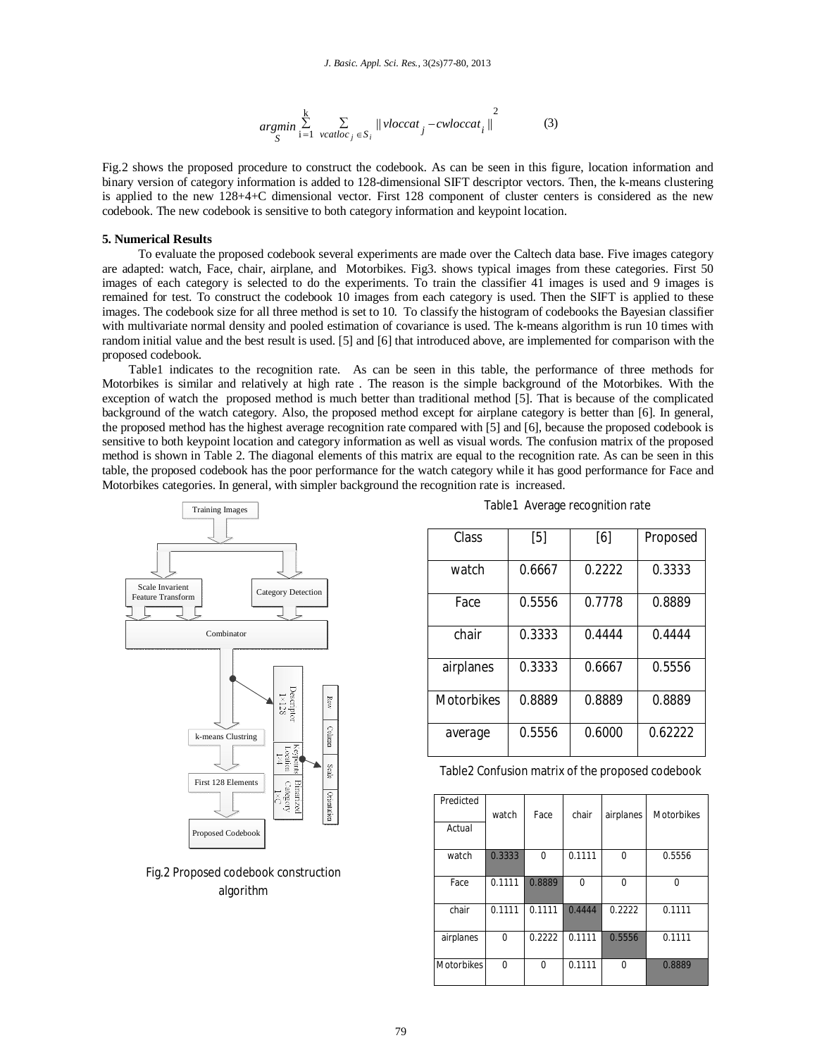$$
\underset{S}{\operatorname{argmin}} \sum_{i=1}^{k} \sum_{\text{vcatloc}_j \in S_i} ||\text{vloccat}_j - \text{culoccat}_i||^2 \tag{3}
$$

Fig.2 shows the proposed procedure to construct the codebook. As can be seen in this figure, location information and binary version of category information is added to 128-dimensional SIFT descriptor vectors. Then, the k-means clustering is applied to the new 128+4+C dimensional vector. First 128 component of cluster centers is considered as the new codebook. The new codebook is sensitive to both category information and keypoint location.

### **5. Numerical Results**

 To evaluate the proposed codebook several experiments are made over the Caltech data base. Five images category are adapted: watch, Face, chair, airplane, and Motorbikes. Fig3. shows typical images from these categories. First 50 images of each category is selected to do the experiments. To train the classifier 41 images is used and 9 images is remained for test. To construct the codebook 10 images from each category is used. Then the SIFT is applied to these images. The codebook size for all three method is set to 10. To classify the histogram of codebooks the Bayesian classifier with multivariate normal density and pooled estimation of covariance is used. The k-means algorithm is run 10 times with random initial value and the best result is used. [5] and [6] that introduced above, are implemented for comparison with the proposed codebook.

Table1 indicates to the recognition rate. As can be seen in this table, the performance of three methods for Motorbikes is similar and relatively at high rate . The reason is the simple background of the Motorbikes. With the exception of watch the proposed method is much better than traditional method [5]. That is because of the complicated background of the watch category. Also, the proposed method except for airplane category is better than [6]. In general, the proposed method has the highest average recognition rate compared with [5] and [6], because the proposed codebook is sensitive to both keypoint location and category information as well as visual words. The confusion matrix of the proposed method is shown in Table 2. The diagonal elements of this matrix are equal to the recognition rate. As can be seen in this table, the proposed codebook has the poor performance for the watch category while it has good performance for Face and Motorbikes categories. In general, with simpler background the recognition rate is increased.



Fig.2 Proposed codebook construction algorithm

|  | Table1 Average recognition rate |  |
|--|---------------------------------|--|
|  |                                 |  |

| Class             | $[5]$  | [6]    | Proposed |
|-------------------|--------|--------|----------|
| watch             | 0.6667 | 0.2222 | 0.3333   |
| Face              | 0.5556 | 0.7778 | 0.8889   |
| chair             | 0.3333 | 0.4444 | 0.4444   |
| airplanes         | 0.3333 | 0.6667 | 0.5556   |
| <b>Motorbikes</b> | 0.8889 | 0.8889 | 0.8889   |
| average           | 0.5556 | 0.6000 | 0.62222  |

Table2 Confusion matrix of the proposed codebook

| Predicted         | watch  | Face   | chair    | airplanes | <b>Motorbikes</b> |
|-------------------|--------|--------|----------|-----------|-------------------|
| Actual            |        |        |          |           |                   |
| watch             | 0.3333 | 0      | 0.1111   | 0         | 0.5556            |
| Face              | 0.1111 | 0.8889 | $\Omega$ | 0         | 0                 |
| chair             | 0.1111 | 0.1111 | 0.4444   | 0.2222    | 0.1111            |
| airplanes         | 0      | 0.2222 | 0.1111   | 0.5556    | 0.1111            |
| <b>Motorbikes</b> | 0      | 0      | 0.1111   | 0         | 0.8889            |